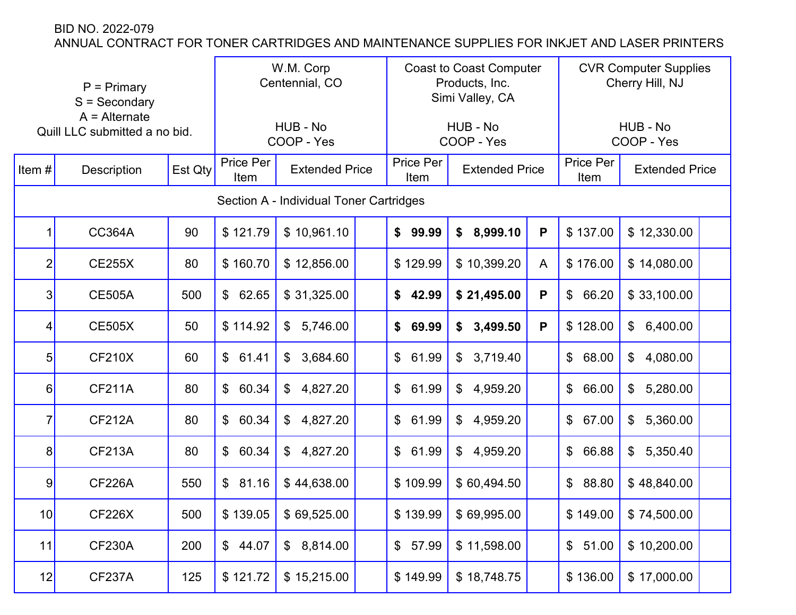|                | $P = Primary$<br>$S =$ Secondary<br>$A =$ Alternate<br>Quill LLC submitted a no bid. |         |                         | W.M. Corp<br>Centennial, CO             |  |                         | <b>Coast to Coast Computer</b><br>Products, Inc.<br>Simi Valley, CA |   | <b>CVR Computer Supplies</b><br>Cherry Hill, NJ |                        |  |
|----------------|--------------------------------------------------------------------------------------|---------|-------------------------|-----------------------------------------|--|-------------------------|---------------------------------------------------------------------|---|-------------------------------------------------|------------------------|--|
|                |                                                                                      |         |                         | HUB - No<br>COOP - Yes                  |  |                         | HUB - No<br>COOP - Yes                                              |   |                                                 | HUB - No<br>COOP - Yes |  |
| Item $#$       | <b>Description</b>                                                                   | Est Qty | Price Per<br>Item       | <b>Extended Price</b>                   |  | Price Per<br>Item       | <b>Extended Price</b>                                               |   | Price Per<br>Item                               | <b>Extended Price</b>  |  |
|                |                                                                                      |         |                         | Section A - Individual Toner Cartridges |  |                         |                                                                     |   |                                                 |                        |  |
| 1              | <b>CC364A</b>                                                                        | 90      | \$121.79                | \$10,961.10                             |  | \$99.99                 | 8,999.10<br>\$                                                      | P | \$137.00                                        | \$12,330.00            |  |
| $\overline{2}$ | <b>CE255X</b>                                                                        | 80      | \$160.70                | \$12,856.00                             |  | \$129.99                | \$10,399.20                                                         | A | \$176.00                                        | \$14,080.00            |  |
| 3              | <b>CE505A</b>                                                                        | 500     | \$62.65                 | \$31,325.00                             |  | \$42.99                 | \$21,495.00                                                         | P | $\mathfrak{S}^-$<br>66.20                       | \$33,100.00            |  |
| 4              | <b>CE505X</b>                                                                        | 50      | \$114.92                | \$<br>5,746.00                          |  | \$69.99                 | \$3,499.50                                                          | P | \$128.00                                        | 6,400.00<br>\$         |  |
| 5              | <b>CF210X</b>                                                                        | 60      | \$61.41                 | 3,684.60<br>\$                          |  | \$61.99                 | 3,719.40<br>$\mathfrak{F}$                                          |   | $\mathbb{S}$<br>68.00                           | 4,080.00<br>\$         |  |
| 6              | <b>CF211A</b>                                                                        | 80      | $\mathbb{S}$<br>60.34   | \$<br>4,827.20                          |  | $\mathbb{S}$<br>61.99   | 4,959.20<br>\$                                                      |   | $\mathfrak{S}$<br>66.00                         | 5,280.00<br>\$         |  |
| $\overline{7}$ | <b>CF212A</b>                                                                        | 80      | $\mathfrak{S}$<br>60.34 | \$<br>4,827.20                          |  | $\mathfrak{S}$<br>61.99 | 4,959.20<br>\$                                                      |   | \$<br>67.00                                     | 5,360.00<br>\$         |  |
| 8              | <b>CF213A</b>                                                                        | 80      | $\mathsf{\$}$<br>60.34  | \$<br>4,827.20                          |  | \$61.99                 | $\mathfrak{P}$<br>4,959.20                                          |   | \$<br>66.88                                     | \$<br>5,350.40         |  |
| 9              | <b>CF226A</b>                                                                        | 550     | \$81.16                 | \$44,638.00                             |  | \$109.99                | \$60,494.50                                                         |   | \$88.80                                         | \$48,840.00            |  |
| 10             | <b>CF226X</b>                                                                        | 500     | \$139.05                | \$69,525.00                             |  | \$139.99                | \$69,995.00                                                         |   | \$149.00                                        | \$74,500.00            |  |
| 11             | <b>CF230A</b>                                                                        | 200     | \$44.07                 | \$8,814.00                              |  | \$57.99                 | \$11,598.00                                                         |   | \$51.00                                         | \$10,200.00            |  |
| 12             | CF237A                                                                               | 125     | \$121.72                | \$15,215.00                             |  | \$149.99                | \$18,748.75                                                         |   | \$136.00                                        | \$17,000.00            |  |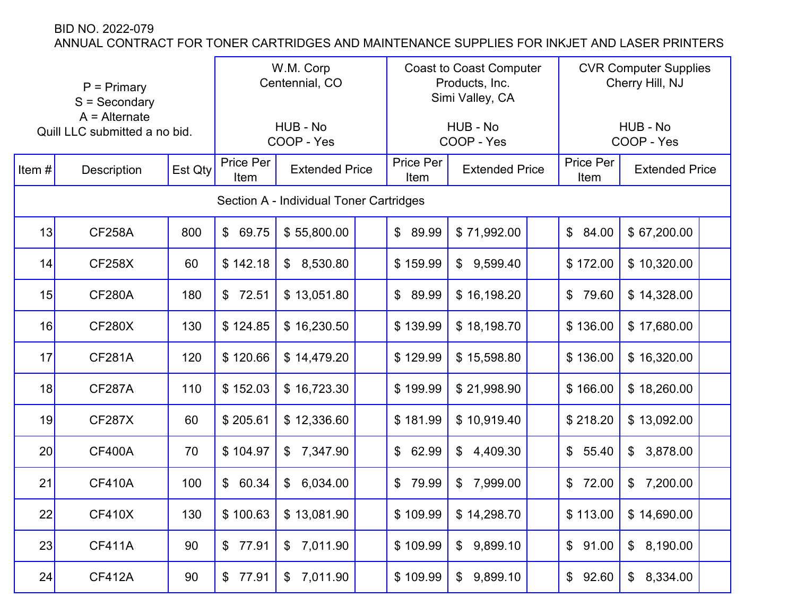| $P = Primary$<br>$S =$ Secondary<br>$A =$ Alternate<br>Quill LLC submitted a no bid. |                    |         | W.M. Corp<br>Centennial, CO                |                                         |                   | <b>Coast to Coast Computer</b><br>Products, Inc.<br>Simi Valley, CA |                            |                   | <b>CVR Computer Supplies</b><br>Cherry Hill, NJ |                            |  |
|--------------------------------------------------------------------------------------|--------------------|---------|--------------------------------------------|-----------------------------------------|-------------------|---------------------------------------------------------------------|----------------------------|-------------------|-------------------------------------------------|----------------------------|--|
|                                                                                      |                    |         |                                            | HUB - No<br>COOP - Yes                  |                   |                                                                     | HUB - No<br>COOP - Yes     |                   |                                                 | HUB - No<br>COOP - Yes     |  |
| Item#                                                                                | <b>Description</b> | Est Qty | Price Per<br><b>Extended Price</b><br>Item |                                         | Price Per<br>Item | <b>Extended Price</b>                                               |                            | Price Per<br>Item | <b>Extended Price</b>                           |                            |  |
|                                                                                      |                    |         |                                            | Section A - Individual Toner Cartridges |                   |                                                                     |                            |                   |                                                 |                            |  |
| 13                                                                                   | <b>CF258A</b>      | 800     | $\mathbb{S}$<br>69.75                      | \$55,800.00                             |                   | \$89.99                                                             | \$71,992.00                |                   | $\mathbb{S}^-$<br>84.00                         | \$67,200.00                |  |
| 14                                                                                   | <b>CF258X</b>      | 60      | \$142.18                                   | 8,530.80<br>\$                          |                   | \$159.99                                                            | 9,599.40<br>$\mathfrak{F}$ |                   | \$172.00                                        | \$10,320.00                |  |
| 15                                                                                   | <b>CF280A</b>      | 180     | \$72.51                                    | \$13,051.80                             |                   | \$89.99                                                             | \$16,198.20                |                   | $\frac{2}{3}$<br>79.60                          | \$14,328.00                |  |
| 16                                                                                   | <b>CF280X</b>      | 130     | \$124.85                                   | \$16,230.50                             |                   | \$139.99                                                            | \$18,198.70                |                   | \$136.00                                        | \$17,680.00                |  |
| 17                                                                                   | <b>CF281A</b>      | 120     | \$120.66                                   | \$14,479.20                             |                   | \$129.99                                                            | \$15,598.80                |                   | \$136.00                                        | \$16,320.00                |  |
| 18                                                                                   | <b>CF287A</b>      | 110     | \$152.03                                   | \$16,723.30                             |                   | \$199.99                                                            | \$21,998.90                |                   | \$166.00                                        | \$18,260.00                |  |
| 19                                                                                   | <b>CF287X</b>      | 60      | \$205.61                                   | \$12,336.60                             |                   | \$181.99                                                            | \$10,919.40                |                   | \$218.20                                        | \$13,092.00                |  |
| 20                                                                                   | <b>CF400A</b>      | 70      | \$104.97                                   | \$<br>7,347.90                          |                   | \$62.99                                                             | $\mathfrak{P}$<br>4,409.30 |                   | \$55.40                                         | 3,878.00<br>\$             |  |
| 21                                                                                   | <b>CF410A</b>      | 100     | $\mathsf{\$}$<br>60.34                     | 6,034.00<br>$\mathfrak{F}$              |                   | $\mathbb{S}$<br>79.99                                               | 7,999.00<br>$\mathfrak{S}$ |                   | \$72.00                                         | 7,200.00<br>$\mathfrak{F}$ |  |
| 22                                                                                   | <b>CF410X</b>      | 130     | \$100.63                                   | \$13,081.90                             |                   | \$109.99                                                            | \$14,298.70                |                   | \$113.00                                        | \$14,690.00                |  |
| 23                                                                                   | <b>CF411A</b>      | 90      | \$77.91                                    | \$7,011.90                              |                   | \$109.99                                                            | \$9,899.10                 |                   | \$91.00                                         | \$8,190.00                 |  |
| 24                                                                                   | <b>CF412A</b>      | 90      | 77.91<br>$\frac{1}{2}$                     | 7,011.90<br>\$                          |                   | \$109.99                                                            | 9,899.10<br>$\$\$          |                   | \$92.60                                         | \$8,334.00                 |  |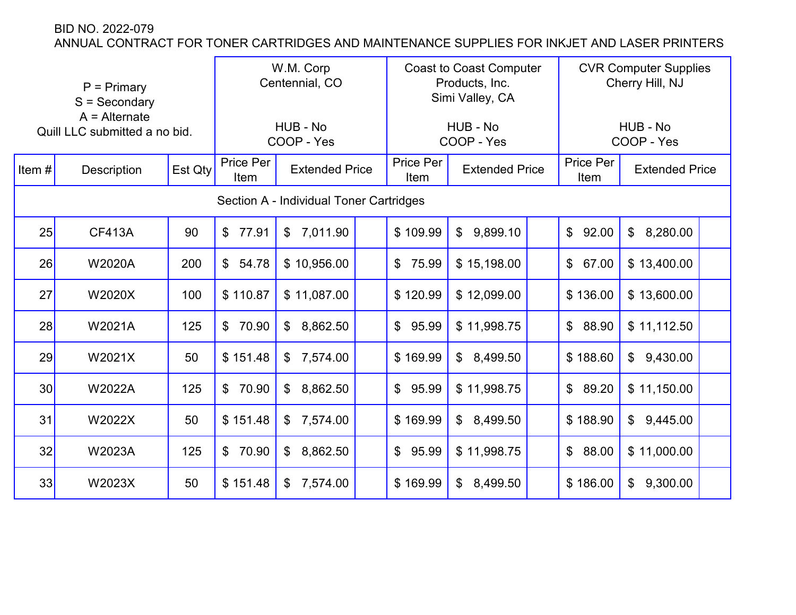|                 | $P = Primary$<br>$S =$ Secondary<br>$A =$ Alternate<br>Quill LLC submitted a no bid. |         |                                            | W.M. Corp<br>Centennial, CO<br>HUB - No |                   |                       | <b>Coast to Coast Computer</b><br>Products, Inc.<br>Simi Valley, CA<br>HUB - No |                       | <b>CVR Computer Supplies</b><br>Cherry Hill, NJ<br>HUB - No |  |
|-----------------|--------------------------------------------------------------------------------------|---------|--------------------------------------------|-----------------------------------------|-------------------|-----------------------|---------------------------------------------------------------------------------|-----------------------|-------------------------------------------------------------|--|
|                 |                                                                                      |         |                                            | COOP - Yes                              |                   |                       | COOP - Yes                                                                      |                       | COOP - Yes                                                  |  |
| Item $#$        | Description                                                                          | Est Qty | Price Per<br><b>Extended Price</b><br>Item |                                         | Price Per<br>Item | <b>Extended Price</b> | Price Per<br>Item                                                               | <b>Extended Price</b> |                                                             |  |
|                 |                                                                                      |         |                                            | Section A - Individual Toner Cartridges |                   |                       |                                                                                 |                       |                                                             |  |
| 25              | <b>CF413A</b>                                                                        | 90      | 77.91<br>$\mathbb S$                       | \$7,011.90                              |                   | \$109.99              | $\mathbb{S}$<br>9,899.10                                                        | \$92.00               | $\mathfrak{S}$<br>8,280.00                                  |  |
| 26              | <b>W2020A</b>                                                                        | 200     | $\mathbb{S}$<br>54.78                      | \$10,956.00                             |                   | \$75.99               | \$15,198.00                                                                     | \$67.00               | \$13,400.00                                                 |  |
| 27              | W2020X                                                                               | 100     | \$110.87                                   | \$11,087.00                             |                   | \$120.99              | \$12,099.00                                                                     | \$136.00              | \$13,600.00                                                 |  |
| 28              | W2021A                                                                               | 125     | $\mathbb S$<br>70.90                       | $\mathbb{S}$<br>8,862.50                |                   | \$95.99               | \$11,998.75                                                                     | \$88.90               | \$11,112.50                                                 |  |
| 29              | W2021X                                                                               | 50      | \$151.48                                   | 7,574.00<br>\$                          |                   | \$169.99              | $\mathfrak{S}$<br>8,499.50                                                      | \$188.60              | 9,430.00<br>$\mathbb{S}$                                    |  |
| 30 <sup>°</sup> | W2022A                                                                               | 125     | 70.90<br>$\mathfrak{S}$                    | 8,862.50<br>\$                          |                   | 95.99<br>$\mathbb{S}$ | \$11,998.75                                                                     | $\mathbb{S}$<br>89.20 | \$11,150.00                                                 |  |
| 31              | W2022X                                                                               | 50      | \$151.48                                   | 7,574.00<br>\$                          |                   | \$169.99              | \$8,499.50                                                                      | \$188.90              | \$9,445.00                                                  |  |
| 32              | W2023A                                                                               | 125     | 70.90<br>$\mathbb{S}$                      | 8,862.50<br>$\mathfrak{S}$              |                   | \$95.99               | \$11,998.75                                                                     | \$88.00               | \$11,000.00                                                 |  |
| 33              | W2023X                                                                               | 50      | \$151.48                                   | \$<br>7,574.00                          |                   | \$169.99              | 8,499.50<br>\$                                                                  | \$186.00              | 9,300.00<br>\$                                              |  |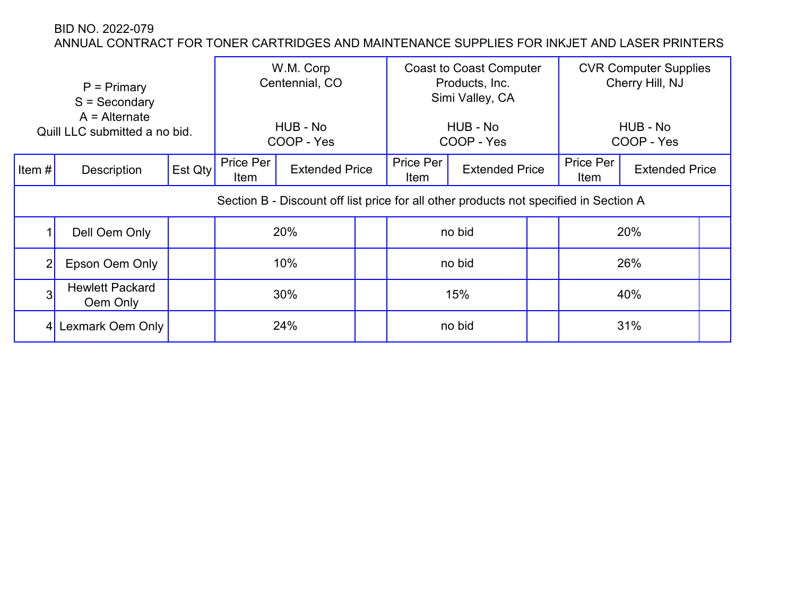|                | $P = Primary$<br>$S =$ Secondary<br>$A =$ Alternate<br>Quill LLC submitted a no bid. |         |                                                                                       | W.M. Corp<br>Centennial, CO<br>HUB - No<br>COOP - Yes |                   | <b>Coast to Coast Computer</b><br>Products, Inc.<br>Simi Valley, CA<br>HUB - No<br>COOP - Yes |                   | <b>CVR Computer Supplies</b><br>Cherry Hill, NJ<br>HUB - No<br>COOP - Yes |  |
|----------------|--------------------------------------------------------------------------------------|---------|---------------------------------------------------------------------------------------|-------------------------------------------------------|-------------------|-----------------------------------------------------------------------------------------------|-------------------|---------------------------------------------------------------------------|--|
| Item $#$       | Description                                                                          | Est Qty | Price Per<br>Item                                                                     | <b>Extended Price</b>                                 | Price Per<br>Item | <b>Extended Price</b>                                                                         | Price Per<br>Item | <b>Extended Price</b>                                                     |  |
|                |                                                                                      |         | Section B - Discount off list price for all other products not specified in Section A |                                                       |                   |                                                                                               |                   |                                                                           |  |
|                | Dell Oem Only                                                                        |         |                                                                                       | 20%                                                   | no bid            |                                                                                               | 20%               |                                                                           |  |
| $\overline{2}$ | Epson Oem Only                                                                       |         |                                                                                       | 10%                                                   |                   | no bid                                                                                        | 26%               |                                                                           |  |
| 3              | <b>Hewlett Packard</b><br>Oem Only                                                   |         |                                                                                       | 30%                                                   |                   | 15%                                                                                           |                   | 40%                                                                       |  |
| 4 <sup>1</sup> | Lexmark Oem Only                                                                     |         |                                                                                       | 24%                                                   |                   | no bid                                                                                        |                   | 31%                                                                       |  |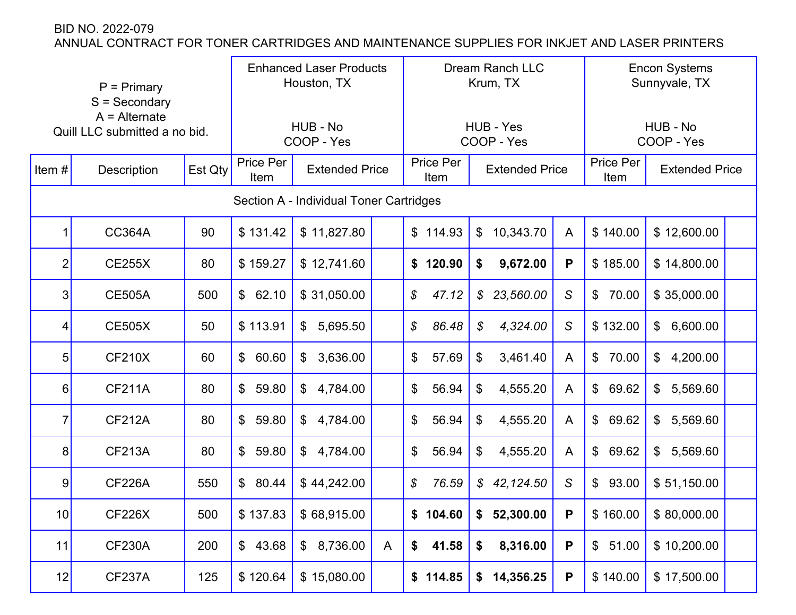|                | $P = Primary$<br>$S =$ Secondary<br>$A =$ Alternate<br>Quill LLC submitted a no bid. |         |                         | <b>Enhanced Laser Products</b><br>Houston, TX<br>HUB - No |   |                        | Dream Ranch LLC<br>Krum, TX<br>HUB - Yes |                | <b>Encon Systems</b><br>Sunnyvale, TX<br>HUB - No |                           |  |
|----------------|--------------------------------------------------------------------------------------|---------|-------------------------|-----------------------------------------------------------|---|------------------------|------------------------------------------|----------------|---------------------------------------------------|---------------------------|--|
|                |                                                                                      |         |                         | COOP - Yes                                                |   |                        | COOP - Yes                               |                |                                                   | COOP - Yes                |  |
| Item#          | <b>Description</b>                                                                   | Est Qty | Price Per<br>Item       | <b>Extended Price</b>                                     |   | Price Per<br>Item      | <b>Extended Price</b>                    |                | Price Per<br>Item                                 | <b>Extended Price</b>     |  |
|                |                                                                                      |         |                         | Section A - Individual Toner Cartridges                   |   |                        |                                          |                |                                                   |                           |  |
|                | <b>CC364A</b>                                                                        | 90      | \$131.42                | \$11,827.80                                               |   | \$114.93               | 10,343.70<br>$\mathcal{L}$               | A              | \$140.00                                          | \$12,600.00               |  |
| 2              | <b>CE255X</b>                                                                        | 80      | \$159.27                | \$12,741.60                                               |   | \$120.90               | 9,672.00<br>\$                           | P              | \$185.00                                          | \$14,800.00               |  |
| $\overline{3}$ | <b>CE505A</b>                                                                        | 500     | 62.10<br>$\mathfrak{S}$ | \$31,050.00                                               |   | \$<br>47.12            | 23,560.00<br>$\mathcal{S}$               | $\mathcal{S}$  | 70.00<br>$\mathfrak{S}$                           | \$35,000.00               |  |
| 4              | <b>CE505X</b>                                                                        | 50      | \$113.91                | $\mathcal{L}$<br>5,695.50                                 |   | $\mathcal{S}$<br>86.48 | $\boldsymbol{\mathcal{S}}$<br>4,324.00   | $\mathcal{S}$  | \$132.00                                          | \$6,600.00                |  |
| 5 <sup>1</sup> | <b>CF210X</b>                                                                        | 60      | 60.60<br>$\mathfrak{S}$ | 3,636.00<br>$\mathfrak{F}$                                |   | \$<br>57.69            | 3,461.40<br>\$                           | $\overline{A}$ | 70.00<br>$\mathfrak{S}$                           | \$<br>4,200.00            |  |
| $6 \mid$       | <b>CF211A</b>                                                                        | 80      | $\mathbb{S}$<br>59.80   | 4,784.00<br>$\mathbb{S}$                                  |   | \$<br>56.94            | 4,555.20<br>\$                           | A              | 69.62<br>$\mathcal{L}$                            | 5,569.60<br>\$            |  |
| 7              | <b>CF212A</b>                                                                        | 80      | $\mathfrak{S}$<br>59.80 | 4,784.00<br>$\mathfrak{F}$                                |   | \$<br>56.94            | 4,555.20<br>\$                           | A              | 69.62<br>$\mathfrak{S}$                           | 5,569.60<br>$\mathcal{S}$ |  |
| 8 <sup>1</sup> | <b>CF213A</b>                                                                        | 80      | \$<br>59.80             | $\mathfrak{S}$<br>4,784.00                                |   | \$<br>56.94            | \$<br>4,555.20                           | A              | $\mathfrak{S}$<br>69.62                           | 5,569.60<br>\$            |  |
| 9              | <b>CF226A</b>                                                                        | 550     | $\mathbb{S}$<br>80.44   | \$44,242.00                                               |   | $\mathcal{S}$<br>76.59 | \$42,124.50                              | $\mathcal{S}$  | $\mathfrak{S}$<br>93.00                           | \$51,150.00               |  |
| 10             | <b>CF226X</b>                                                                        | 500     | \$137.83                | \$68,915.00                                               |   | \$104.60               | 52,300.00<br>\$                          | P              | \$160.00                                          | \$80,000.00               |  |
| 11             | <b>CF230A</b>                                                                        | 200     | 43.68<br>$\frac{1}{2}$  | 8,736.00<br>$\mathfrak{S}$                                | A | \$<br>41.58            | 8,316.00<br>\$                           | P              | \$51.00                                           | \$10,200.00               |  |
| 12             | <b>CF237A</b>                                                                        | 125     | \$120.64                | \$15,080.00                                               |   | \$114.85               | 14,356.25<br>\$                          | P              | \$140.00                                          | \$17,500.00               |  |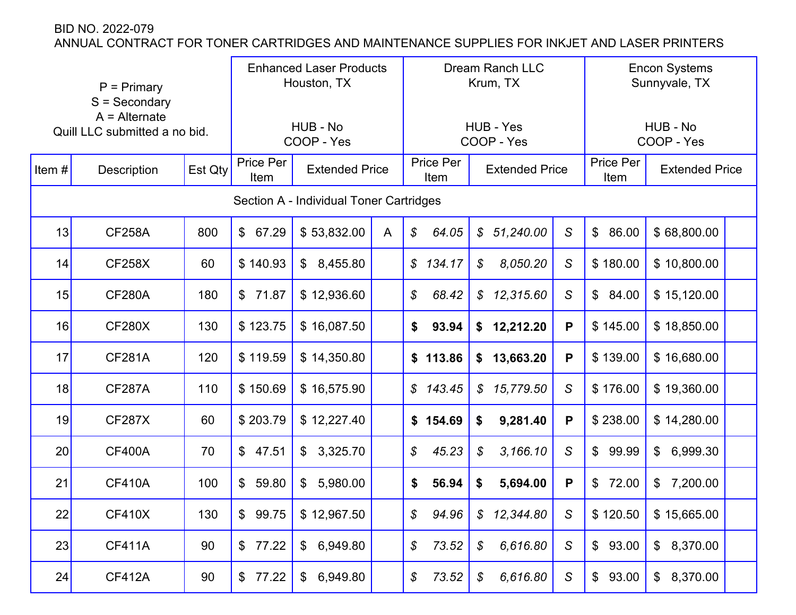|       | $P = Primary$<br>$S =$ Secondary<br>$A =$ Alternate<br>Quill LLC submitted a no bid.<br><b>Description</b> |         |                         | <b>Enhanced Laser Products</b><br>Houston, TX<br>HUB - No<br>COOP - Yes |              |                         | <b>Dream Ranch LLC</b><br>Krum, TX<br>HUB - Yes<br>COOP - Yes |               | <b>Encon Systems</b><br>Sunnyvale, TX<br>HUB - No<br>COOP - Yes |                       |  |
|-------|------------------------------------------------------------------------------------------------------------|---------|-------------------------|-------------------------------------------------------------------------|--------------|-------------------------|---------------------------------------------------------------|---------------|-----------------------------------------------------------------|-----------------------|--|
| Item# |                                                                                                            | Est Qty | Price Per<br>Item       | <b>Extended Price</b>                                                   |              | Price Per<br>Item       | <b>Extended Price</b>                                         |               | Price Per<br>Item                                               | <b>Extended Price</b> |  |
|       |                                                                                                            |         |                         | Section A - Individual Toner Cartridges                                 |              |                         |                                                               |               |                                                                 |                       |  |
| 13    | <b>CF258A</b>                                                                                              | 800     | \$67.29                 | \$53,832.00                                                             | $\mathsf{A}$ | $\mathcal{S}$<br>64.05  | \$51,240.00                                                   | $\mathcal{S}$ | $\mathcal{L}$<br>86.00                                          | \$68,800.00           |  |
| 14    | <b>CF258X</b>                                                                                              | 60      | \$140.93                | 8,455.80<br>$\mathfrak{F}$                                              |              | 134.17<br>$\mathcal{S}$ | 8,050.20<br>$\mathcal{S}$                                     | S             | \$180.00                                                        | \$10,800.00           |  |
| 15    | <b>CF280A</b>                                                                                              | 180     | $\mathfrak{S}$<br>71.87 | \$12,936.60                                                             |              | \$<br>68.42             | \$12,315.60                                                   | $\mathcal{S}$ | $\mathcal{L}$<br>84.00                                          | \$15,120.00           |  |
| 16    | <b>CF280X</b>                                                                                              | 130     | \$123.75                | \$16,087.50                                                             |              | \$<br>93.94             | \$12,212.20                                                   | P             | \$145.00                                                        | \$18,850.00           |  |
| 17    | <b>CF281A</b>                                                                                              | 120     | \$119.59                | \$14,350.80                                                             |              | \$113.86                | 13,663.20<br>\$                                               | P             | \$139.00                                                        | \$16,680.00           |  |
| 18    | <b>CF287A</b>                                                                                              | 110     | \$150.69                | \$16,575.90                                                             |              | $\mathcal{S}$<br>143.45 | \$15,779.50                                                   | $\mathcal{S}$ | \$176.00                                                        | \$19,360.00           |  |
| 19    | <b>CF287X</b>                                                                                              | 60      | \$203.79                | \$12,227.40                                                             |              | \$154.69                | 9,281.40<br>\$                                                | P             | \$238.00                                                        | \$14,280.00           |  |
| 20    | <b>CF400A</b>                                                                                              | 70      | \$<br>47.51             | $\mathbb{S}$<br>3,325.70                                                |              | \$<br>45.23             | \$<br>3,166.10                                                | $\mathcal{S}$ | 99.99<br>$\mathfrak{S}$                                         | 6,999.30<br>\$        |  |
| 21    | <b>CF410A</b>                                                                                              | 100     | \$<br>59.80             | 5,980.00<br>$\mathfrak{S}$                                              |              | \$<br>56.94             | 5,694.00<br>\$                                                | P             | $\mathfrak{F}$<br>72.00                                         | 7,200.00<br>\$        |  |
| 22    | <b>CF410X</b>                                                                                              | 130     | $\mathfrak{S}$<br>99.75 | \$12,967.50                                                             |              | \$<br>94.96             | $\boldsymbol{\mathcal{S}}$<br>12,344.80                       | S             | \$120.50                                                        | \$15,665.00           |  |
| 23    | <b>CF411A</b>                                                                                              | 90      | 77.22<br>$\mathcal{L}$  | 6,949.80<br>$\mathfrak{S}$                                              |              | \$<br>73.52             | 6,616.80<br>\$                                                | S             | \$93.00                                                         | \$8,370.00            |  |
| 24    | <b>CF412A</b>                                                                                              | 90      | \$77.22                 | 6,949.80<br>\$                                                          |              | 73.52<br>\$             | 6,616.80<br>$\boldsymbol{\mathcal{S}}$                        | S             | \$93.00                                                         | \$8,370.00            |  |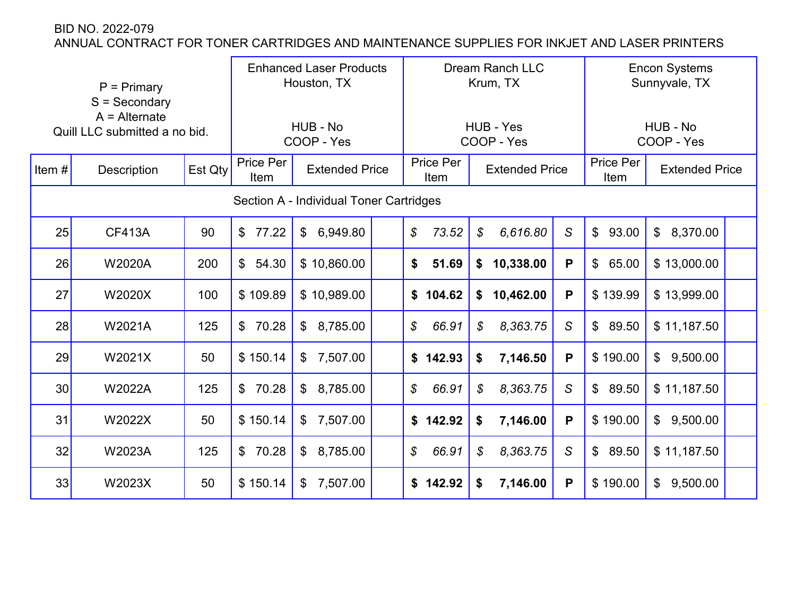|          | $P = Primary$<br>$S =$ Secondary<br>$A =$ Alternate<br>Quill LLC submitted a no bid. |         | <b>Enhanced Laser Products</b><br>Houston, TX<br>HUB - No<br>COOP - Yes |                                         | <b>Dream Ranch LLC</b><br>Krum, TX<br>HUB - Yes<br>COOP - Yes |                          |                       | <b>Encon Systems</b><br>Sunnyvale, TX<br>HUB - No<br>COOP - Yes |                         |                            |  |
|----------|--------------------------------------------------------------------------------------|---------|-------------------------------------------------------------------------|-----------------------------------------|---------------------------------------------------------------|--------------------------|-----------------------|-----------------------------------------------------------------|-------------------------|----------------------------|--|
| Item $#$ | <b>Description</b>                                                                   | Est Qty | Price Per<br>Item                                                       | <b>Extended Price</b>                   |                                                               | <b>Price Per</b><br>Item | <b>Extended Price</b> |                                                                 | Price Per<br>Item       | <b>Extended Price</b>      |  |
|          |                                                                                      |         |                                                                         | Section A - Individual Toner Cartridges |                                                               |                          |                       |                                                                 |                         |                            |  |
| 25       | <b>CF413A</b>                                                                        | 90      | \$<br>77.22                                                             | 6,949.80<br>$\mathfrak{P}$              |                                                               | \$<br>73.52              | \$<br>6,616.80        | $\mathsf S$                                                     | $\mathfrak{S}$<br>93.00 | \$8,370.00                 |  |
| 26       | <b>W2020A</b>                                                                        | 200     | $\mathfrak{L}$<br>54.30                                                 | \$10,860.00                             |                                                               | \$<br>51.69              | 10,338.00<br>\$       | P                                                               | $\mathfrak{F}$<br>65.00 | \$13,000.00                |  |
| 27       | W2020X                                                                               | 100     | \$109.89                                                                | \$10,989.00                             |                                                               | \$104.62                 | 10,462.00<br>\$       | P                                                               | \$139.99                | \$13,999.00                |  |
| 28       | W2021A                                                                               | 125     | 70.28<br>\$                                                             | $\mathfrak{S}$<br>8,785.00              |                                                               | \$<br>66.91              | 8,363.75<br>\$        | $\mathsf S$                                                     | 89.50<br>$\mathfrak{S}$ | \$11,187.50                |  |
| 29       | W2021X                                                                               | 50      | \$150.14                                                                | 7,507.00<br>$\mathfrak{S}$              |                                                               | \$<br>142.93             | 7,146.50<br>\$        | P                                                               | \$190.00                | \$9,500.00                 |  |
| 30       | W2022A                                                                               | 125     | 70.28<br>\$                                                             | 8,785.00<br>$\mathfrak{S}$              |                                                               | $\mathcal{L}$<br>66.91   | \$<br>8,363.75        | $\mathsf S$                                                     | 89.50<br>$\mathfrak{S}$ | \$11,187.50                |  |
| 31       | W2022X                                                                               | 50      | \$150.14                                                                | 7,507.00<br>$\mathfrak{F}$              |                                                               | 142.92<br>\$             | 7,146.00<br>\$        | P                                                               | \$190.00                | \$9,500.00                 |  |
| 32       | W2023A                                                                               | 125     | 70.28<br>\$                                                             | 8,785.00<br>$\mathbb{S}$                |                                                               | \$<br>66.91              | \$<br>8,363.75        | S                                                               | $\mathbb{S}$<br>89.50   | \$11,187.50                |  |
| 33       | W2023X                                                                               | 50      | \$150.14                                                                | 7,507.00<br>$\mathfrak{S}$              |                                                               |                          | 7,146.00<br>\$        | P                                                               | \$190.00                | 9,500.00<br>$\mathfrak{L}$ |  |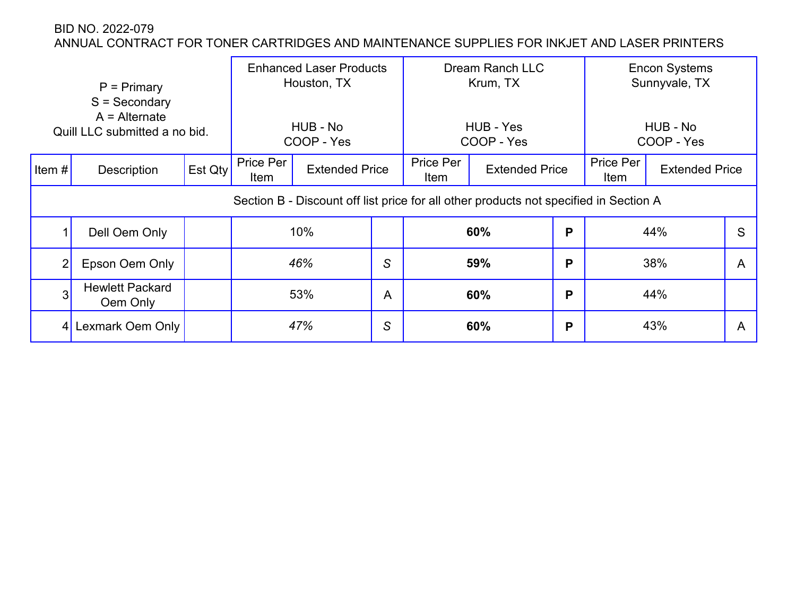|                | $P = Primary$<br>$S =$ Secondary<br>$A =$ Alternate<br>Quill LLC submitted a no bid. |         |                   | <b>Enhanced Laser Products</b><br>Houston, TX<br>HUB - No<br>COOP - Yes                                        |   |                   | Dream Ranch LLC<br>Krum, TX<br>HUB - Yes<br>COOP - Yes |   |                   | <b>Encon Systems</b><br>Sunnyvale, TX<br>HUB - No<br>COOP - Yes |   |
|----------------|--------------------------------------------------------------------------------------|---------|-------------------|----------------------------------------------------------------------------------------------------------------|---|-------------------|--------------------------------------------------------|---|-------------------|-----------------------------------------------------------------|---|
| Item#          | Description                                                                          | Est Qty | Price Per<br>Item | <b>Extended Price</b><br>Section B - Discount off list price for all other products not specified in Section A |   | Price Per<br>Item | <b>Extended Price</b>                                  |   | Price Per<br>Item | <b>Extended Price</b>                                           |   |
|                |                                                                                      |         |                   |                                                                                                                |   |                   |                                                        |   |                   |                                                                 |   |
|                | Dell Oem Only                                                                        |         |                   | 10%                                                                                                            |   | 60%               |                                                        | P | 44%               |                                                                 | S |
| $\overline{2}$ | Epson Oem Only                                                                       |         |                   | 46%                                                                                                            | S | 59%               |                                                        | P |                   | 38%                                                             | A |
| 3              | <b>Hewlett Packard</b><br>Oem Only                                                   |         |                   | 53%                                                                                                            | A |                   | 60%                                                    | P |                   | 44%                                                             |   |
| 4              | Lexmark Oem Only                                                                     |         |                   | 47%                                                                                                            | S |                   | 60%                                                    | P |                   | 43%                                                             | Α |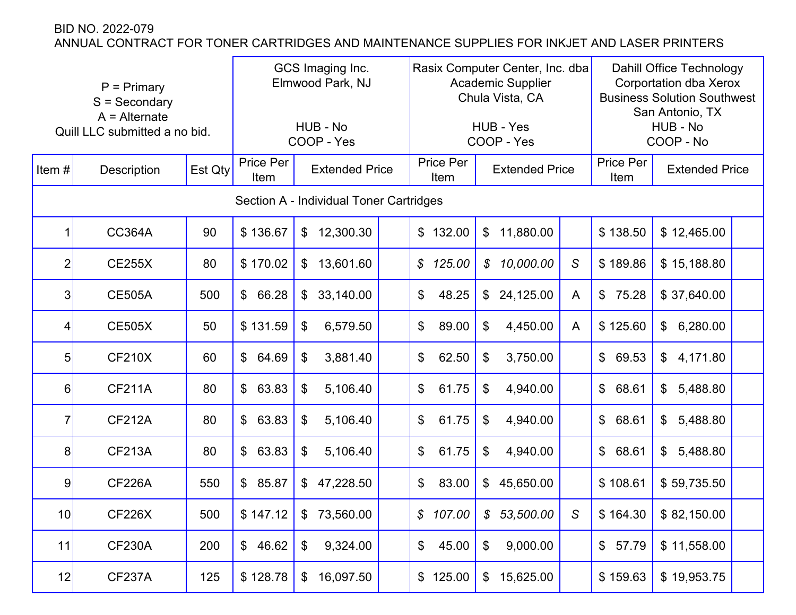|                | $P = Primary$<br>$S =$ Secondary<br>$A =$ Alternate<br>Quill LLC submitted a no bid.<br><b>Description</b> |         | GCS Imaging Inc.<br>Elmwood Park, NJ<br>HUB - No<br>COOP - Yes<br>Price Per |                                         |  |                          | Rasix Computer Center, Inc. dba<br><b>Academic Supplier</b><br>Chula Vista, CA<br>HUB - Yes<br>COOP - Yes |   | <b>Dahill Office Technology</b><br><b>Corportation dba Xerox</b><br><b>Business Solution Southwest</b><br>San Antonio, TX<br>HUB - No<br>COOP - No |                            |  |
|----------------|------------------------------------------------------------------------------------------------------------|---------|-----------------------------------------------------------------------------|-----------------------------------------|--|--------------------------|-----------------------------------------------------------------------------------------------------------|---|----------------------------------------------------------------------------------------------------------------------------------------------------|----------------------------|--|
| Item#          |                                                                                                            | Est Qty | <b>Extended Price</b><br>Item                                               |                                         |  | Price Per<br>Item        | <b>Extended Price</b>                                                                                     |   | Price Per<br>Item                                                                                                                                  | <b>Extended Price</b>      |  |
|                |                                                                                                            |         |                                                                             | Section A - Individual Toner Cartridges |  |                          |                                                                                                           |   |                                                                                                                                                    |                            |  |
|                | <b>CC364A</b>                                                                                              | 90      | \$136.67                                                                    | 12,300.30<br>\$                         |  | $\mathfrak{L}$<br>132.00 | 11,880.00<br>\$                                                                                           |   | \$138.50                                                                                                                                           | \$12,465.00                |  |
| $\overline{2}$ | <b>CE255X</b>                                                                                              | 80      | \$170.02                                                                    | 13,601.60<br>\$                         |  | \$<br>125.00             | 10,000.00<br>$\mathcal{S}$                                                                                | S | \$189.86                                                                                                                                           | \$15,188.80                |  |
| 3              | <b>CE505A</b>                                                                                              | 500     | \$<br>66.28                                                                 | \$<br>33,140.00                         |  | \$<br>48.25              | 24,125.00<br>$\frac{2}{3}$                                                                                | A | $\mathfrak{S}$<br>75.28                                                                                                                            | \$37,640.00                |  |
| 4              | <b>CE505X</b>                                                                                              | 50      | \$131.59                                                                    | 6,579.50<br>$\boldsymbol{\mathcal{S}}$  |  | \$<br>89.00              | 4,450.00<br>\$                                                                                            | A | \$125.60                                                                                                                                           | 6,280.00<br>$\mathfrak{S}$ |  |
| 5              | <b>CF210X</b>                                                                                              | 60      | \$<br>64.69                                                                 | 3,881.40<br>\$                          |  | 62.50<br>\$              | 3,750.00<br>\$                                                                                            |   | 69.53<br>$\mathsf{\$}$                                                                                                                             | \$4,171.80                 |  |
| 6              | <b>CF211A</b>                                                                                              | 80      | \$<br>63.83                                                                 | 5,106.40<br>\$                          |  | \$<br>61.75              | \$<br>4,940.00                                                                                            |   | $\mathbb{S}$<br>68.61                                                                                                                              | $\mathfrak{S}$<br>5,488.80 |  |
| 7              | <b>CF212A</b>                                                                                              | 80      | 63.83<br>\$                                                                 | 5,106.40<br>$\boldsymbol{\mathcal{S}}$  |  | \$<br>61.75              | 4,940.00<br>\$                                                                                            |   | $\frac{1}{2}$<br>68.61                                                                                                                             | 5,488.80<br>\$             |  |
| 8              | <b>CF213A</b>                                                                                              | 80      | 63.83<br>\$                                                                 | \$<br>5,106.40                          |  | \$<br>61.75              | \$<br>4,940.00                                                                                            |   | $\frac{1}{2}$<br>68.61                                                                                                                             | \$<br>5,488.80             |  |
| 9              | <b>CF226A</b>                                                                                              | 550     | \$<br>85.87                                                                 | 47,228.50<br>\$                         |  | \$<br>83.00              | 45,650.00<br>$\mathfrak{S}$                                                                               |   | \$108.61                                                                                                                                           | \$59,735.50                |  |
| 10             | <b>CF226X</b>                                                                                              | 500     | \$147.12                                                                    | $\boldsymbol{\mathsf{\$}}$<br>73,560.00 |  | \$107.00                 | $\boldsymbol{\mathcal{S}}$<br>53,500.00                                                                   | S | \$164.30                                                                                                                                           | \$82,150.00                |  |
| 11             | <b>CF230A</b>                                                                                              | 200     | 46.62<br>$\frac{1}{2}$                                                      | 9,324.00<br>\$                          |  | 45.00<br>\$              | 9,000.00<br>\$                                                                                            |   | \$57.79                                                                                                                                            | \$11,558.00                |  |
| 12             | CF237A                                                                                                     | 125     | \$128.78                                                                    | 16,097.50<br>\$                         |  | 125.00<br>\$             | 15,625.00<br>\$                                                                                           |   | \$159.63                                                                                                                                           | \$19,953.75                |  |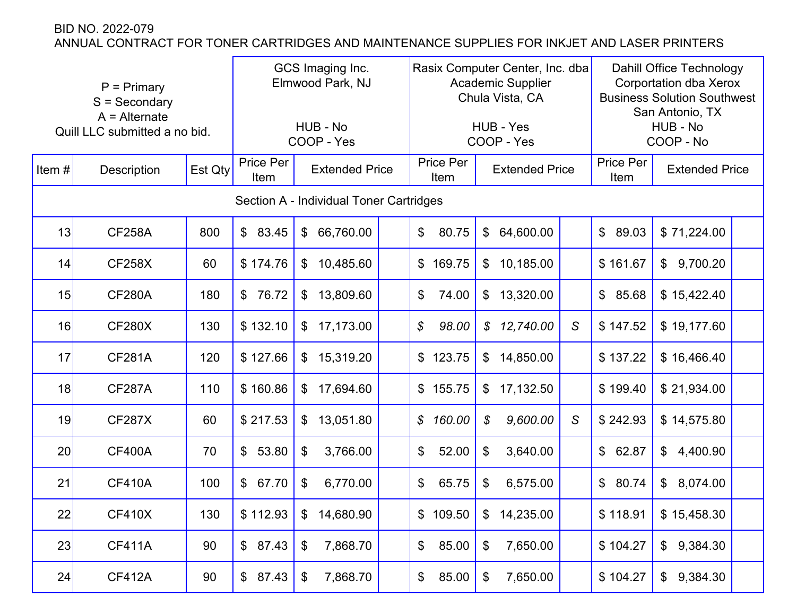|       | $P = Primary$<br>$S =$ Secondary<br>$A =$ Alternate<br>Quill LLC submitted a no bid. |         | GCS Imaging Inc.<br>Elmwood Park, NJ<br>HUB - No<br>COOP - Yes<br>Price Per<br><b>Extended Price</b> |                                         |  |                   | Rasix Computer Center, Inc. dba<br><b>Academic Supplier</b><br>Chula Vista, CA<br>HUB - Yes<br>COOP - Yes |   | <b>Dahill Office Technology</b><br>Corportation dba Xerox<br><b>Business Solution Southwest</b><br>San Antonio, TX<br>HUB - No<br>COOP - No |                            |  |
|-------|--------------------------------------------------------------------------------------|---------|------------------------------------------------------------------------------------------------------|-----------------------------------------|--|-------------------|-----------------------------------------------------------------------------------------------------------|---|---------------------------------------------------------------------------------------------------------------------------------------------|----------------------------|--|
| Item# | Description                                                                          | Est Qty | Item                                                                                                 |                                         |  | Price Per<br>Item | <b>Extended Price</b>                                                                                     |   | Price Per<br>Item                                                                                                                           | <b>Extended Price</b>      |  |
|       |                                                                                      |         |                                                                                                      | Section A - Individual Toner Cartridges |  |                   |                                                                                                           |   |                                                                                                                                             |                            |  |
| 13    | <b>CF258A</b>                                                                        | 800     | \$<br>83.45                                                                                          | 66,760.00<br>\$                         |  | \$<br>80.75       | 64,600.00<br>$\mathfrak{S}$                                                                               |   | \$89.03                                                                                                                                     | \$71,224.00                |  |
| 14    | <b>CF258X</b>                                                                        | 60      | \$174.76                                                                                             | 10,485.60<br>\$                         |  | \$<br>169.75      | 10,185.00<br>$\frac{1}{2}$                                                                                |   | \$161.67                                                                                                                                    | 9,700.20<br>$\mathfrak{S}$ |  |
| 15    | <b>CF280A</b>                                                                        | 180     | \$<br>76.72                                                                                          | 13,809.60<br>\$                         |  | \$<br>74.00       | 13,320.00<br>$\mathfrak{S}$                                                                               |   | \$85.68                                                                                                                                     | \$15,422.40                |  |
| 16    | <b>CF280X</b>                                                                        | 130     | \$132.10                                                                                             | 17,173.00<br>\$                         |  | \$<br>98.00       | 12,740.00<br>$\mathcal{S}$                                                                                | S | \$147.52                                                                                                                                    | \$19,177.60                |  |
| 17    | <b>CF281A</b>                                                                        | 120     | \$127.66                                                                                             | 15,319.20<br>\$                         |  | 123.75<br>\$      | 14,850.00<br>$\mathfrak{S}$                                                                               |   | \$137.22                                                                                                                                    | \$16,466.40                |  |
| 18    | <b>CF287A</b>                                                                        | 110     | \$160.86                                                                                             | 17,694.60<br>\$                         |  | \$<br>155.75      | 17,132.50<br>$\mathfrak{F}$                                                                               |   | \$199.40                                                                                                                                    | \$21,934.00                |  |
| 19    | <b>CF287X</b>                                                                        | 60      | \$217.53                                                                                             | 13,051.80<br>\$                         |  | \$<br>160.00      | 9,600.00<br>$\boldsymbol{\mathcal{S}}$                                                                    | S | \$242.93                                                                                                                                    | \$14,575.80                |  |
| 20    | <b>CF400A</b>                                                                        | 70      | 53.80<br>$\mathfrak{S}$                                                                              | 3,766.00<br>\$                          |  | \$<br>52.00       | \$<br>3,640.00                                                                                            |   | \$62.87                                                                                                                                     | $\mathfrak{S}$<br>4,400.90 |  |
| 21    | <b>CF410A</b>                                                                        | 100     | $\mathfrak{S}$<br>67.70                                                                              | $\boldsymbol{\mathcal{S}}$<br>6,770.00  |  | \$<br>65.75       | 6,575.00<br>\$                                                                                            |   | \$80.74                                                                                                                                     | $\mathfrak{S}$<br>8,074.00 |  |
| 22    | <b>CF410X</b>                                                                        | 130     | \$112.93                                                                                             | 14,680.90<br>\$                         |  | \$109.50          | 14,235.00<br>\$                                                                                           |   | \$118.91                                                                                                                                    | \$15,458.30                |  |
| 23    | <b>CF411A</b>                                                                        | 90      | \$87.43                                                                                              | 7,868.70<br>\$                          |  | 85.00<br>\$       | 7,650.00<br>\$                                                                                            |   | \$104.27                                                                                                                                    | \$9,384.30                 |  |
| 24    | <b>CF412A</b>                                                                        | 90      | \$87.43                                                                                              | 7,868.70<br>\$                          |  | 85.00<br>\$       | 7,650.00<br>\$                                                                                            |   | \$104.27                                                                                                                                    | \$9,384.30                 |  |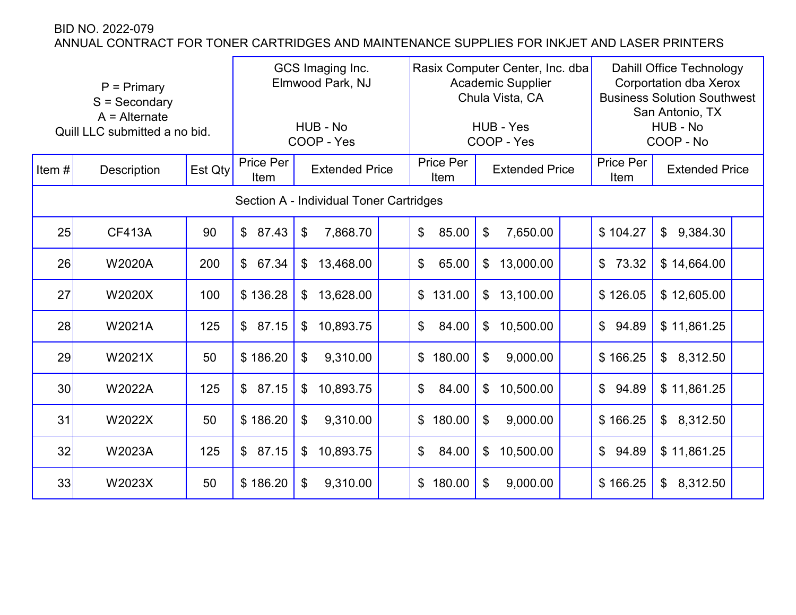|                 | $P = Primary$<br>$S =$ Secondary<br>$A =$ Alternate<br>Quill LLC submitted a no bid.<br><b>Description</b> |         | GCS Imaging Inc.<br>Elmwood Park, NJ<br>HUB - No<br>COOP - Yes |                 | Rasix Computer Center, Inc. dba<br><b>Academic Supplier</b><br>Chula Vista, CA<br>HUB - Yes<br>COOP - Yes<br>Price Per |              |                                        | <b>Dahill Office Technology</b><br><b>Corportation dba Xerox</b><br><b>Business Solution Southwest</b><br>San Antonio, TX<br>HUB - No<br>COOP - No |                         |                            |  |
|-----------------|------------------------------------------------------------------------------------------------------------|---------|----------------------------------------------------------------|-----------------|------------------------------------------------------------------------------------------------------------------------|--------------|----------------------------------------|----------------------------------------------------------------------------------------------------------------------------------------------------|-------------------------|----------------------------|--|
| Item $#$        |                                                                                                            | Est Qty | Price Per<br><b>Extended Price</b><br>Item                     |                 |                                                                                                                        | Item         | <b>Extended Price</b>                  |                                                                                                                                                    | Price Per<br>Item       | <b>Extended Price</b>      |  |
|                 | Section A - Individual Toner Cartridges                                                                    |         |                                                                |                 |                                                                                                                        |              |                                        |                                                                                                                                                    |                         |                            |  |
| 25              | <b>CF413A</b>                                                                                              | 90      | 87.43<br>$\mathfrak{L}$                                        | 7,868.70<br>\$  |                                                                                                                        | 85.00<br>\$  | \$<br>7,650.00                         |                                                                                                                                                    | \$104.27                | 9,384.30<br>$\mathfrak{S}$ |  |
| 26              | W2020A                                                                                                     | 200     | $\mathfrak{S}$<br>67.34                                        | \$<br>13,468.00 |                                                                                                                        | \$<br>65.00  | 13,000.00<br>$\$\$                     |                                                                                                                                                    | $\mathfrak{S}$<br>73.32 | \$14,664.00                |  |
| 27              | W2020X                                                                                                     | 100     | \$136.28                                                       | 13,628.00<br>\$ |                                                                                                                        | \$<br>131.00 | 13,100.00<br>\$                        |                                                                                                                                                    | \$126.05                | \$12,605.00                |  |
| 28              | W2021A                                                                                                     | 125     | 87.15<br>$\mathbb{S}$                                          | 10,893.75<br>\$ |                                                                                                                        | \$<br>84.00  | 10,500.00<br>\$                        |                                                                                                                                                    | \$94.89                 | \$11,861.25                |  |
| 29              | W2021X                                                                                                     | 50      | \$186.20                                                       | 9,310.00<br>\$  |                                                                                                                        | 180.00<br>\$ | \$<br>9,000.00                         |                                                                                                                                                    | \$166.25                | \$8,312.50                 |  |
| 30 <sup>°</sup> | W2022A                                                                                                     | 125     | 87.15<br>$\mathfrak{S}$                                        | 10,893.75<br>\$ |                                                                                                                        | \$<br>84.00  | 10,500.00<br>\$                        |                                                                                                                                                    | $\mathfrak{S}$<br>94.89 | \$11,861.25                |  |
| 31              | W2022X                                                                                                     | 50      | \$186.20                                                       | 9,310.00<br>\$  |                                                                                                                        | \$<br>180.00 | \$<br>9,000.00                         |                                                                                                                                                    | \$166.25                | \$8,312.50                 |  |
| 32              | W2023A                                                                                                     | 125     | $\mathfrak{S}$<br>87.15                                        | 10,893.75<br>\$ |                                                                                                                        | \$<br>84.00  | 10,500.00<br>$\boldsymbol{\mathsf{S}}$ |                                                                                                                                                    | 94.89<br>$\mathbb{S}$   | \$11,861.25                |  |
| 33              | W2023X                                                                                                     | 50      | \$186.20                                                       | 9,310.00<br>\$  |                                                                                                                        | 180.00<br>\$ | 9,000.00<br>\$                         |                                                                                                                                                    | \$166.25                | 8,312.50<br>$\mathfrak{S}$ |  |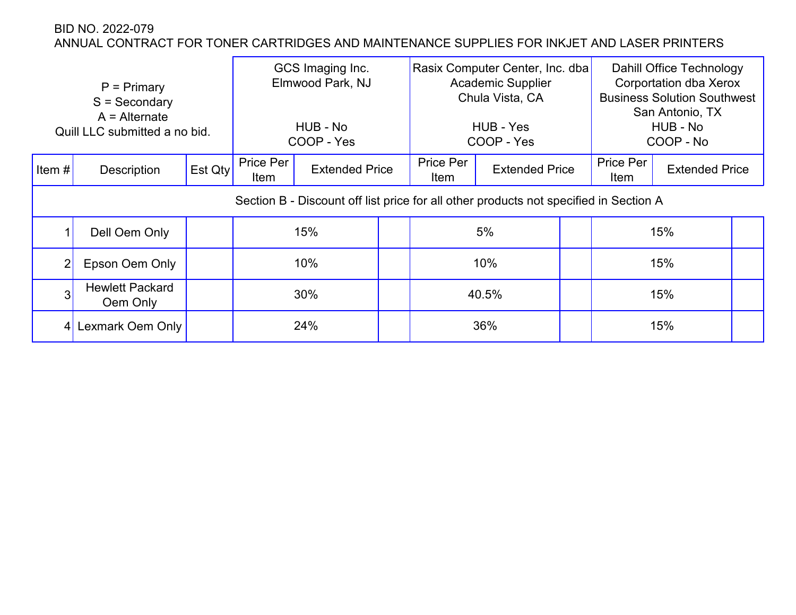|                | $P = Primary$<br>$S =$ Secondary<br>$A =$ Alternate<br>Quill LLC submitted a no bid. |         | GCS Imaging Inc.<br>Elmwood Park, NJ<br>HUB - No<br>COOP - Yes                        |     |  | Rasix Computer Center, Inc. dba<br><b>Academic Supplier</b><br>Chula Vista, CA<br>HUB - Yes<br>COOP - Yes |                       | Dahill Office Technology<br><b>Corportation dba Xerox</b><br><b>Business Solution Southwest</b><br>San Antonio, TX<br>HUB - No<br>COOP - No |                   |                       |  |
|----------------|--------------------------------------------------------------------------------------|---------|---------------------------------------------------------------------------------------|-----|--|-----------------------------------------------------------------------------------------------------------|-----------------------|---------------------------------------------------------------------------------------------------------------------------------------------|-------------------|-----------------------|--|
| Item $#$       | <b>Description</b>                                                                   | Est Qty | Price Per<br><b>Extended Price</b><br>Item                                            |     |  | Price Per<br>Item                                                                                         | <b>Extended Price</b> |                                                                                                                                             | Price Per<br>Item | <b>Extended Price</b> |  |
|                |                                                                                      |         | Section B - Discount off list price for all other products not specified in Section A |     |  |                                                                                                           |                       |                                                                                                                                             |                   |                       |  |
|                | Dell Oem Only                                                                        |         |                                                                                       | 15% |  | 5%                                                                                                        |                       |                                                                                                                                             | 15%               |                       |  |
| 2 <sub>1</sub> | Epson Oem Only                                                                       |         | 10%                                                                                   |     |  | 10%                                                                                                       |                       |                                                                                                                                             | 15%               |                       |  |
| 3              | <b>Hewlett Packard</b><br>Oem Only                                                   |         |                                                                                       | 30% |  |                                                                                                           | 40.5%                 |                                                                                                                                             |                   | 15%                   |  |
|                | 4 Lexmark Oem Only                                                                   |         | 24%                                                                                   |     |  | 36%                                                                                                       |                       |                                                                                                                                             | 15%               |                       |  |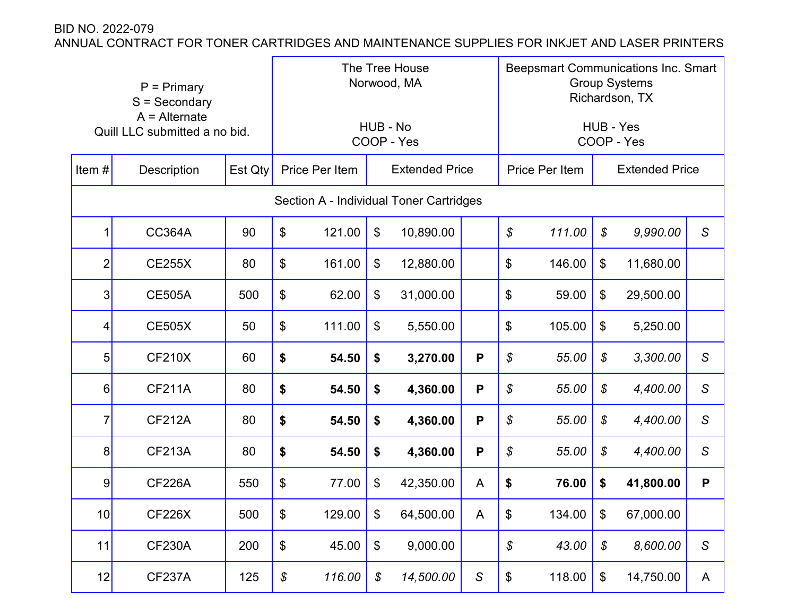| $P = Primary$<br>$S =$ Secondary<br>$A =$ Alternate<br>Quill LLC submitted a no bid. |                    |         | The Tree House<br>Norwood, MA             |                |                            |           |             | <b>Beepsmart Communications Inc. Smart</b><br><b>Group Systems</b><br>Richardson, TX |        |                            |           |              |  |
|--------------------------------------------------------------------------------------|--------------------|---------|-------------------------------------------|----------------|----------------------------|-----------|-------------|--------------------------------------------------------------------------------------|--------|----------------------------|-----------|--------------|--|
|                                                                                      |                    |         | HUB - No<br>COOP - Yes                    |                |                            |           |             | HUB - Yes<br>COOP - Yes                                                              |        |                            |           |              |  |
| Item $#$                                                                             | <b>Description</b> | Est Qty |                                           | Price Per Item | <b>Extended Price</b>      |           |             | Price Per Item                                                                       |        | <b>Extended Price</b>      |           |              |  |
|                                                                                      |                    |         | Section A - Individual Toner Cartridges   |                |                            |           |             |                                                                                      |        |                            |           |              |  |
| 1                                                                                    | <b>CC364A</b>      | 90      | \$                                        | 121.00         | $\boldsymbol{\mathsf{S}}$  | 10,890.00 |             | \$                                                                                   | 111.00 | $\boldsymbol{\mathcal{S}}$ | 9,990.00  | $\mathsf S$  |  |
| $\overline{2}$                                                                       | <b>CE255X</b>      | 80      | $\boldsymbol{\theta}$                     | 161.00         | \$                         | 12,880.00 |             | \$                                                                                   | 146.00 | \$                         | 11,680.00 |              |  |
| 3                                                                                    | <b>CE505A</b>      | 500     | \$                                        | 62.00          | $\boldsymbol{\mathsf{S}}$  | 31,000.00 |             | \$                                                                                   | 59.00  | \$                         | 29,500.00 |              |  |
| 4                                                                                    | <b>CE505X</b>      | 50      | $\boldsymbol{\theta}$                     | 111.00         | $\mathfrak{F}$             | 5,550.00  |             | \$                                                                                   | 105.00 | \$                         | 5,250.00  |              |  |
| 5                                                                                    | <b>CF210X</b>      | 60      | \$                                        | 54.50          | \$                         | 3,270.00  | P           | \$                                                                                   | 55.00  | $\boldsymbol{\mathcal{S}}$ | 3,300.00  | $\mathsf S$  |  |
| 6                                                                                    | <b>CF211A</b>      | 80      | \$                                        | 54.50          | \$                         | 4,360.00  | P           | \$                                                                                   | 55.00  | $\boldsymbol{\mathcal{S}}$ | 4,400.00  | S            |  |
| $\overline{7}$                                                                       | <b>CF212A</b>      | 80      | \$                                        | 54.50          | \$                         | 4,360.00  | P           | \$                                                                                   | 55.00  | $\boldsymbol{\mathcal{S}}$ | 4,400.00  | $\mathsf S$  |  |
| 8                                                                                    | <b>CF213A</b>      | 80      | \$                                        | 54.50          | \$                         | 4,360.00  | P           | \$                                                                                   | 55.00  | \$                         | 4,400.00  | $\mathsf S$  |  |
| 9                                                                                    | <b>CF226A</b>      | 550     | $\boldsymbol{\mathsf{S}}$                 | 77.00          | $\mathfrak{F}$             | 42,350.00 | A           | \$                                                                                   | 76.00  | \$                         | 41,800.00 | P            |  |
| 10                                                                                   | <b>CF226X</b>      | 500     | \$                                        | 129.00         | \$                         | 64,500.00 | A           | \$                                                                                   | 134.00 | \$                         | 67,000.00 |              |  |
| 11                                                                                   | <b>CF230A</b>      | 200     | $\, \, \raisebox{12pt}{$\scriptstyle \$}$ | 45.00          | $\boldsymbol{\theta}$      | 9,000.00  |             | ${\mathcal{S}}$                                                                      | 43.00  | \$                         | 8,600.00  | $\mathcal S$ |  |
| 12                                                                                   | <b>CF237A</b>      | 125     | ${\mathcal S}$                            | 116.00         | $\boldsymbol{\mathcal{S}}$ | 14,500.00 | $\mathsf S$ | \$                                                                                   | 118.00 | $\$\$                      | 14,750.00 | A            |  |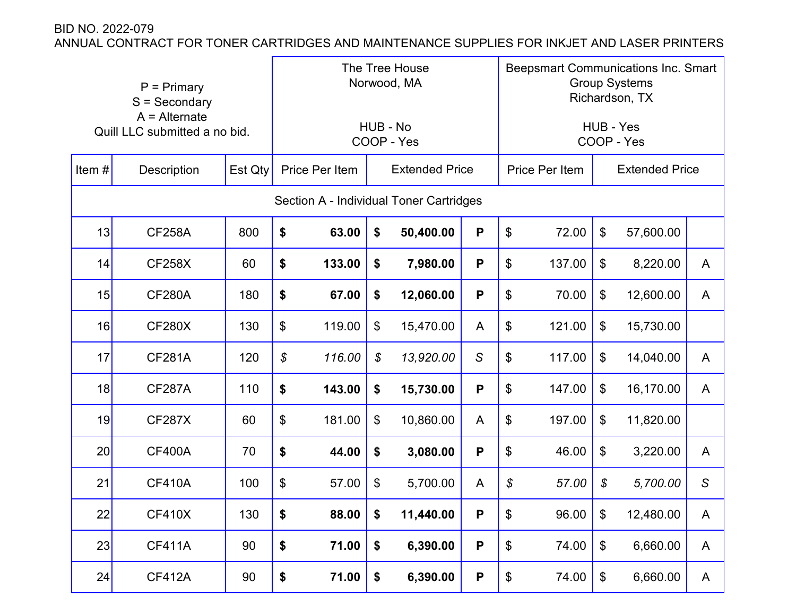| $P = Primary$<br>$S =$ Secondary                 |                    |                        | The Tree House<br>Norwood, MA           |                |                            |                         |              | <b>Beepsmart Communications Inc. Smart</b><br><b>Group Systems</b><br>Richardson, TX |        |                       |           |                |  |
|--------------------------------------------------|--------------------|------------------------|-----------------------------------------|----------------|----------------------------|-------------------------|--------------|--------------------------------------------------------------------------------------|--------|-----------------------|-----------|----------------|--|
| $A =$ Alternate<br>Quill LLC submitted a no bid. |                    | HUB - No<br>COOP - Yes |                                         |                |                            | HUB - Yes<br>COOP - Yes |              |                                                                                      |        |                       |           |                |  |
| Item $#$                                         | <b>Description</b> | Est Qty                |                                         | Price Per Item | <b>Extended Price</b>      |                         |              | <b>Price Per Item</b>                                                                |        | <b>Extended Price</b> |           |                |  |
|                                                  |                    |                        | Section A - Individual Toner Cartridges |                |                            |                         |              |                                                                                      |        |                       |           |                |  |
| 13                                               | <b>CF258A</b>      | 800                    | \$                                      | 63.00          | \$                         | 50,400.00               | P            | \$                                                                                   | 72.00  | \$                    | 57,600.00 |                |  |
| 14                                               | <b>CF258X</b>      | 60                     | \$                                      | 133.00         | \$                         | 7,980.00                | P            | $\boldsymbol{\mathsf{S}}$                                                            | 137.00 | \$                    | 8,220.00  | A              |  |
| 15                                               | <b>CF280A</b>      | 180                    | \$                                      | 67.00          | \$                         | 12,060.00               | P            | \$                                                                                   | 70.00  | \$                    | 12,600.00 | A              |  |
| 16                                               | <b>CF280X</b>      | 130                    | $\boldsymbol{\mathsf{S}}$               | 119.00         | \$                         | 15,470.00               | A            | \$                                                                                   | 121.00 | \$                    | 15,730.00 |                |  |
| 17                                               | <b>CF281A</b>      | 120                    | \$                                      | 116.00         | $\boldsymbol{\mathcal{S}}$ | 13,920.00               | $\mathsf{S}$ | \$                                                                                   | 117.00 | \$                    | 14,040.00 | A              |  |
| 18                                               | <b>CF287A</b>      | 110                    | \$                                      | 143.00         | \$                         | 15,730.00               | P            | $\boldsymbol{\mathsf{S}}$                                                            | 147.00 | \$                    | 16,170.00 | A              |  |
| 19                                               | <b>CF287X</b>      | 60                     | $\boldsymbol{\mathsf{\$}}$              | 181.00         | \$                         | 10,860.00               | A            | \$                                                                                   | 197.00 | \$                    | 11,820.00 |                |  |
| 20                                               | <b>CF400A</b>      | 70                     | \$                                      | 44.00          | \$                         | 3,080.00                | P            | \$                                                                                   | 46.00  | \$                    | 3,220.00  | A              |  |
| 21                                               | <b>CF410A</b>      | 100                    | \$                                      | 57.00          | \$                         | 5,700.00                | A            | \$                                                                                   | 57.00  | \$                    | 5,700.00  | $\mathsf S$    |  |
| 22                                               | <b>CF410X</b>      | 130                    | \$                                      | 88.00          | \$                         | 11,440.00               | P            | \$                                                                                   | 96.00  | $\boldsymbol{\theta}$ | 12,480.00 | $\overline{A}$ |  |
| 23                                               | <b>CF411A</b>      | 90                     | \$                                      | 71.00          | \$                         | 6,390.00                | $\mathsf P$  | $\, \, \raisebox{12pt}{$\scriptstyle \$}$                                            | 74.00  | \$                    | 6,660.00  | $\mathsf{A}$   |  |
| 24                                               | <b>CF412A</b>      | 90                     | \$                                      | 71.00          | \$                         | 6,390.00                | P            | $\boldsymbol{\$}$                                                                    | 74.00  | \$                    | 6,660.00  | A              |  |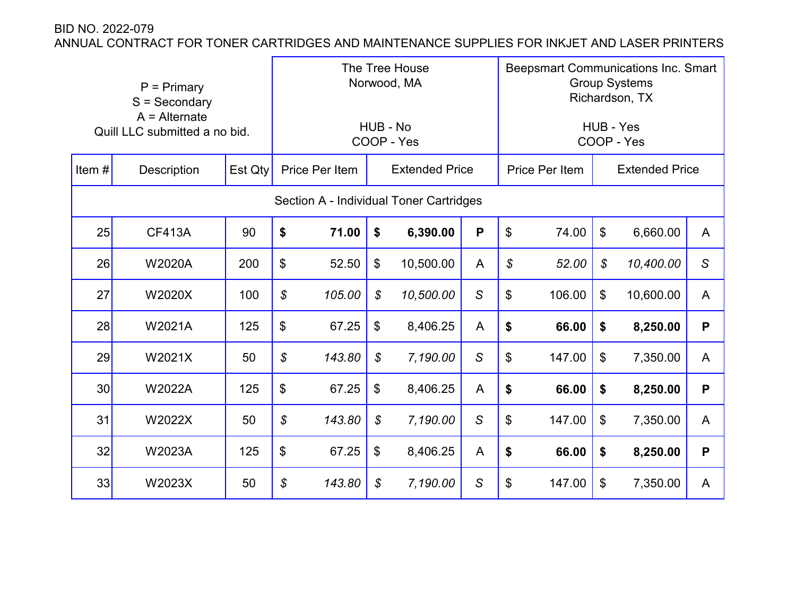| $P = Primary$<br>$S =$ Secondary<br>$A =$ Alternate<br>Quill LLC submitted a no bid. |               |                | The Tree House<br>Norwood, MA<br>HUB - No<br>COOP - Yes |                                         |                            |           |                | <b>Beepsmart Communications Inc. Smart</b><br><b>Group Systems</b><br>Richardson, TX<br>HUB - Yes<br>COOP - Yes |        |                |                       |              |
|--------------------------------------------------------------------------------------|---------------|----------------|---------------------------------------------------------|-----------------------------------------|----------------------------|-----------|----------------|-----------------------------------------------------------------------------------------------------------------|--------|----------------|-----------------------|--------------|
| Item#                                                                                | Description   | <b>Est Qty</b> |                                                         | Price Per Item                          | <b>Extended Price</b>      |           |                | Price Per Item                                                                                                  |        |                | <b>Extended Price</b> |              |
|                                                                                      |               |                |                                                         | Section A - Individual Toner Cartridges |                            |           |                |                                                                                                                 |        |                |                       |              |
| 25                                                                                   | <b>CF413A</b> | 90             | \$                                                      | 71.00                                   | \$                         | 6,390.00  | P              | \$                                                                                                              | 74.00  | $\mathbb{S}$   | 6,660.00              | $\mathsf{A}$ |
| 26                                                                                   | <b>W2020A</b> | 200            | \$                                                      | 52.50                                   | $\boldsymbol{\mathsf{S}}$  | 10,500.00 | $\overline{A}$ | $\mathcal{L}$                                                                                                   | 52.00  | \$             | 10,400.00             | $\mathsf{S}$ |
| 27                                                                                   | W2020X        | 100            | \$                                                      | 105.00                                  | \$                         | 10,500.00 | $\mathsf S$    | \$                                                                                                              | 106.00 | $\mathfrak{S}$ | 10,600.00             | A            |
| 28                                                                                   | W2021A        | 125            | \$                                                      | 67.25                                   | $\boldsymbol{\mathsf{S}}$  | 8,406.25  | A              | \$                                                                                                              | 66.00  | \$             | 8,250.00              | P            |
| 29                                                                                   | W2021X        | 50             | \$                                                      | 143.80                                  | $\mathcal{S}$              | 7,190.00  | $\mathsf S$    | \$                                                                                                              | 147.00 | $\mathfrak{S}$ | 7,350.00              | A            |
| 30                                                                                   | W2022A        | 125            | $\boldsymbol{\theta}$                                   | 67.25                                   | $\$\$                      | 8,406.25  | A              | \$                                                                                                              | 66.00  | \$             | 8,250.00              | P            |
| 31                                                                                   | W2022X        | 50             | \$                                                      | 143.80                                  | \$                         | 7,190.00  | $\mathsf S$    | $\boldsymbol{\theta}$                                                                                           | 147.00 | \$             | 7,350.00              | A            |
| 32                                                                                   | W2023A        | 125            | \$                                                      | 67.25                                   | $\$\$                      | 8,406.25  | A              | \$                                                                                                              | 66.00  | \$             | 8,250.00              | P            |
| 33                                                                                   | W2023X        | 50             | \$                                                      | 143.80                                  | $\boldsymbol{\mathcal{S}}$ | 7,190.00  | $\mathsf S$    | $\$\$                                                                                                           | 147.00 | \$             | 7,350.00              | A            |